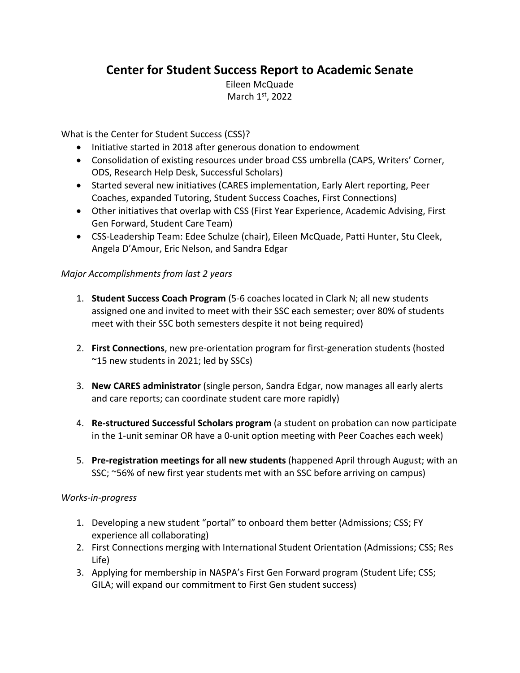## **Center for Student Success Report to Academic Senate**

Eileen McQuade March 1st, 2022

What is the Center for Student Success (CSS)?

- Initiative started in 2018 after generous donation to endowment
- Consolidation of existing resources under broad CSS umbrella (CAPS, Writers' Corner, ODS, Research Help Desk, Successful Scholars)
- Started several new initiatives (CARES implementation, Early Alert reporting, Peer Coaches, expanded Tutoring, Student Success Coaches, First Connections)
- Other initiatives that overlap with CSS (First Year Experience, Academic Advising, First Gen Forward, Student Care Team)
- CSS-Leadership Team: Edee Schulze (chair), Eileen McQuade, Patti Hunter, Stu Cleek, Angela D'Amour, Eric Nelson, and Sandra Edgar

## *Major Accomplishments from last 2 years*

- 1. **Student Success Coach Program** (5-6 coaches located in Clark N; all new students assigned one and invited to meet with their SSC each semester; over 80% of students meet with their SSC both semesters despite it not being required)
- 2. **First Connections**, new pre-orientation program for first-generation students (hosted ~15 new students in 2021; led by SSCs)
- 3. **New CARES administrator** (single person, Sandra Edgar, now manages all early alerts and care reports; can coordinate student care more rapidly)
- 4. **Re-structured Successful Scholars program** (a student on probation can now participate in the 1-unit seminar OR have a 0-unit option meeting with Peer Coaches each week)
- 5. **Pre-registration meetings for all new students** (happened April through August; with an SSC; ~56% of new first year students met with an SSC before arriving on campus)

## *Works-in-progress*

- 1. Developing a new student "portal" to onboard them better (Admissions; CSS; FY experience all collaborating)
- 2. First Connections merging with International Student Orientation (Admissions; CSS; Res Life)
- 3. Applying for membership in NASPA's First Gen Forward program (Student Life; CSS; GILA; will expand our commitment to First Gen student success)